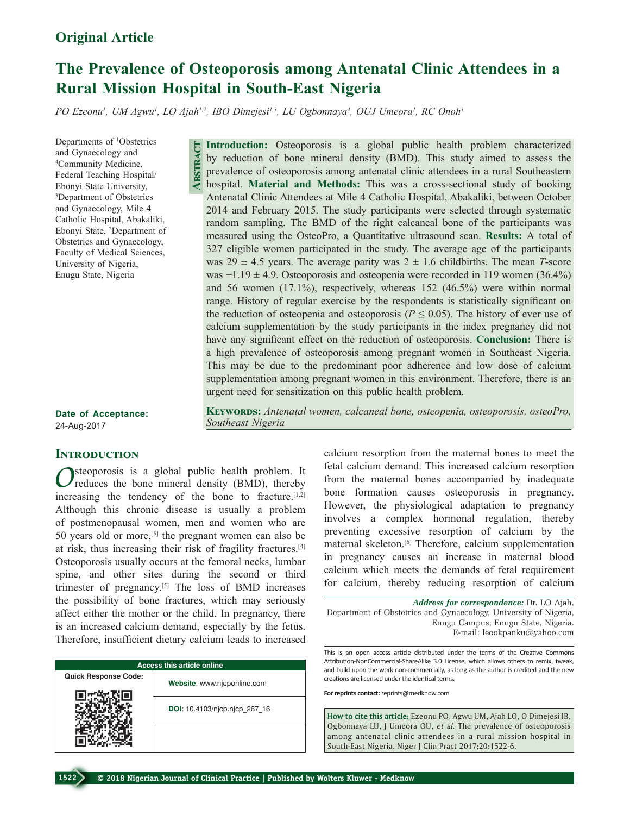## **Original Article**

# **The Prevalence of Osteoporosis among Antenatal Clinic Attendees in a Rural Mission Hospital in South-East Nigeria**

PO Ezeonu<sup>1</sup>, UM Agwu<sup>1</sup>, LO Ajah<sup>1,2</sup>, IBO Dimejesi<sup>1,3</sup>, LU Ogbonnaya<sup>4</sup>, OUJ Umeora<sup>1</sup>, RC Onoh<sup>1</sup>

**Abstract**

*Southeast Nigeria*

Departments of 1 Obstetrics and Gynaecology and 4 Community Medicine, Federal Teaching Hospital/ Ebonyi State University, 3 Department of Obstetrics and Gynaecology, Mile 4 Catholic Hospital, Abakaliki, Ebonyi State, 2 Department of Obstetrics and Gynaecology, Faculty of Medical Sciences, University of Nigeria, Enugu State, Nigeria

by reduction of bone mineral density (BMD). This study aimed to assess the prevalence of osteoporosis among antenatal clinic attendees in a rural Southeastern hospital. **Material and Methods:** This was a cross‑sectional study of booking Antenatal Clinic Attendees at Mile 4 Catholic Hospital, Abakaliki, between October 2014 and February 2015. The study participants were selected through systematic random sampling. The BMD of the right calcaneal bone of the participants was measured using the OsteoPro, a Quantitative ultrasound scan. **Results:** A total of 327 eligible women participated in the study. The average age of the participants was  $29 \pm 4.5$  years. The average parity was  $2 \pm 1.6$  childbirths. The mean *T*-score was  $-1.19 \pm 4.9$ . Osteoporosis and osteopenia were recorded in 119 women (36.4%) and 56 women (17.1%), respectively, whereas 152 (46.5%) were within normal range. History of regular exercise by the respondents is statistically significant on the reduction of osteopenia and osteoporosis ( $P \le 0.05$ ). The history of ever use of calcium supplementation by the study participants in the index pregnancy did not have any significant effect on the reduction of osteoporosis. **Conclusion:** There is a high prevalence of osteoporosis among pregnant women in Southeast Nigeria. This may be due to the predominant poor adherence and low dose of calcium supplementation among pregnant women in this environment. Therefore, there is an urgent need for sensitization on this public health problem.

**Keywords:** *Antenatal women, calcaneal bone, osteopenia, osteoporosis, osteoPro,* 

**Introduction:** Osteoporosis is a global public health problem characterized

**Date of Acceptance:** 24-Aug-2017

## **Introduction**

steoporosis is a global public health problem. It reduces the bone mineral density (BMD), thereby increasing the tendency of the bone to fracture. $[1,2]$ Although this chronic disease is usually a problem of postmenopausal women, men and women who are 50 years old or more, $^{[3]}$  the pregnant women can also be at risk, thus increasing their risk of fragility fractures.[4] Osteoporosis usually occurs at the femoral necks, lumbar spine, and other sites during the second or third trimester of pregnancy.[5] The loss of BMD increases the possibility of bone fractures, which may seriously affect either the mother or the child. In pregnancy, there is an increased calcium demand, especially by the fetus. Therefore, insufficient dietary calcium leads to increased

| <b>Access this article online</b> |                               |  |  |  |
|-----------------------------------|-------------------------------|--|--|--|
| <b>Quick Response Code:</b>       | Website: www.njcponline.com   |  |  |  |
|                                   | DOI: 10.4103/njcp.njcp 267 16 |  |  |  |
|                                   |                               |  |  |  |

calcium resorption from the maternal bones to meet the fetal calcium demand. This increased calcium resorption from the maternal bones accompanied by inadequate bone formation causes osteoporosis in pregnancy. However, the physiological adaptation to pregnancy involves a complex hormonal regulation, thereby preventing excessive resorption of calcium by the maternal skeleton.[6] Therefore, calcium supplementation in pregnancy causes an increase in maternal blood calcium which meets the demands of fetal requirement

*Address for correspondence:* Dr. LO Ajah, Department of Obstetrics and Gynaecology, University of Nigeria, Enugu Campus, Enugu State, Nigeria. E‑mail: leookpanku@yahoo.com

for calcium, thereby reducing resorption of calcium

This is an open access article distributed under the terms of the Creative Commons Attribution-NonCommercial-ShareAlike 3.0 License, which allows others to remix, tweak, and build upon the work non-commercially, as long as the author is credited and the new creations are licensed under the identical terms.

**For reprints contact:** reprints@medknow.com

**How to cite this article:** Ezeonu PO, Agwu UM, Ajah LO, O Dimejesi IB, Ogbonnaya LU, J Umeora OU, *et al*. The prevalence of osteoporosis among antenatal clinic attendees in a rural mission hospital in South-East Nigeria. Niger J Clin Pract 2017;20:1522-6.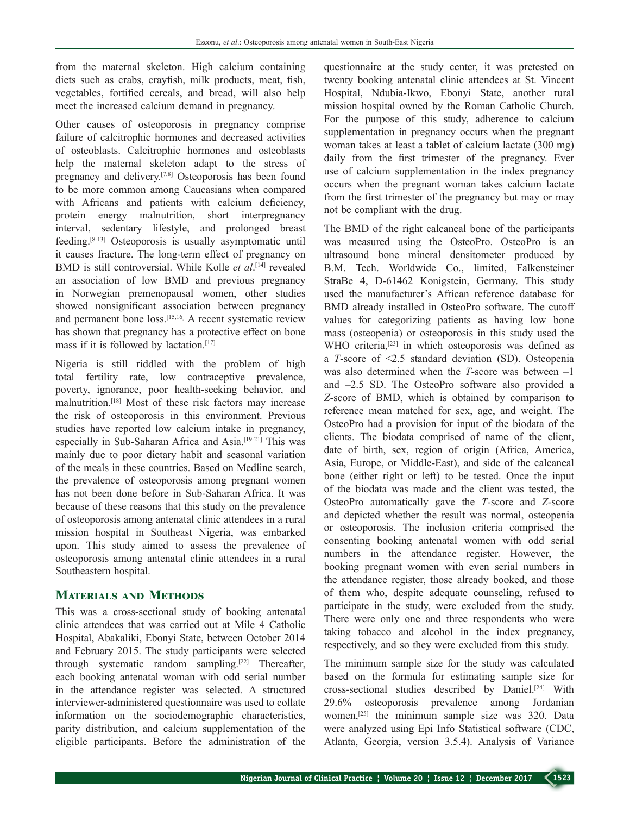from the maternal skeleton. High calcium containing diets such as crabs, crayfish, milk products, meat, fish, vegetables, fortified cereals, and bread, will also help meet the increased calcium demand in pregnancy.

Other causes of osteoporosis in pregnancy comprise failure of calcitrophic hormones and decreased activities of osteoblasts. Calcitrophic hormones and osteoblasts help the maternal skeleton adapt to the stress of pregnancy and delivery.[7,8] Osteoporosis has been found to be more common among Caucasians when compared with Africans and patients with calcium deficiency, protein energy malnutrition, short interpregnancy interval, sedentary lifestyle, and prolonged breast feeding.[8‑13] Osteoporosis is usually asymptomatic until it causes fracture. The long-term effect of pregnancy on BMD is still controversial. While Kolle *et al*. [14] revealed an association of low BMD and previous pregnancy in Norwegian premenopausal women, other studies showed nonsignificant association between pregnancy and permanent bone loss.[15,16] A recent systematic review has shown that pregnancy has a protective effect on bone mass if it is followed by lactation.[17]

Nigeria is still riddled with the problem of high total fertility rate, low contraceptive prevalence, poverty, ignorance, poor health-seeking behavior, and malnutrition.[18] Most of these risk factors may increase the risk of osteoporosis in this environment. Previous studies have reported low calcium intake in pregnancy, especially in Sub-Saharan Africa and Asia.<sup>[19-21]</sup> This was mainly due to poor dietary habit and seasonal variation of the meals in these countries. Based on Medline search, the prevalence of osteoporosis among pregnant women has not been done before in Sub‑Saharan Africa. It was because of these reasons that this study on the prevalence of osteoporosis among antenatal clinic attendees in a rural mission hospital in Southeast Nigeria, was embarked upon. This study aimed to assess the prevalence of osteoporosis among antenatal clinic attendees in a rural Southeastern hospital.

## **Materials and Methods**

This was a cross-sectional study of booking antenatal clinic attendees that was carried out at Mile 4 Catholic Hospital, Abakaliki, Ebonyi State, between October 2014 and February 2015. The study participants were selected through systematic random sampling.[22] Thereafter, each booking antenatal woman with odd serial number in the attendance register was selected. A structured interviewer-administered questionnaire was used to collate information on the sociodemographic characteristics, parity distribution, and calcium supplementation of the eligible participants. Before the administration of the questionnaire at the study center, it was pretested on twenty booking antenatal clinic attendees at St. Vincent Hospital, Ndubia‑Ikwo, Ebonyi State, another rural mission hospital owned by the Roman Catholic Church. For the purpose of this study, adherence to calcium supplementation in pregnancy occurs when the pregnant woman takes at least a tablet of calcium lactate (300 mg) daily from the first trimester of the pregnancy. Ever use of calcium supplementation in the index pregnancy occurs when the pregnant woman takes calcium lactate from the first trimester of the pregnancy but may or may not be compliant with the drug.

The BMD of the right calcaneal bone of the participants was measured using the OsteoPro. OsteoPro is an ultrasound bone mineral densitometer produced by B.M. Tech. Worldwide Co., limited, Falkensteiner StraBe 4, D-61462 Konigstein, Germany. This study used the manufacturer's African reference database for BMD already installed in OsteoPro software. The cutoff values for categorizing patients as having low bone mass (osteopenia) or osteoporosis in this study used the WHO criteria,<sup>[23]</sup> in which osteoporosis was defined as a *T*‑score of <2.5 standard deviation (SD). Osteopenia was also determined when the *T*-score was between  $-1$ and –2.5 SD. The OsteoPro software also provided a *Z*‑score of BMD, which is obtained by comparison to reference mean matched for sex, age, and weight. The OsteoPro had a provision for input of the biodata of the clients. The biodata comprised of name of the client, date of birth, sex, region of origin (Africa, America, Asia, Europe, or Middle‑East), and side of the calcaneal bone (either right or left) to be tested. Once the input of the biodata was made and the client was tested, the OsteoPro automatically gave the *T*‑score and *Z*‑score and depicted whether the result was normal, osteopenia or osteoporosis. The inclusion criteria comprised the consenting booking antenatal women with odd serial numbers in the attendance register. However, the booking pregnant women with even serial numbers in the attendance register, those already booked, and those of them who, despite adequate counseling, refused to participate in the study, were excluded from the study. There were only one and three respondents who were taking tobacco and alcohol in the index pregnancy, respectively, and so they were excluded from this study.

The minimum sample size for the study was calculated based on the formula for estimating sample size for cross‑sectional studies described by Daniel.[24] With 29.6% osteoporosis prevalence among Jordanian women,[25] the minimum sample size was 320. Data were analyzed using Epi Info Statistical software (CDC, Atlanta, Georgia, version 3.5.4). Analysis of Variance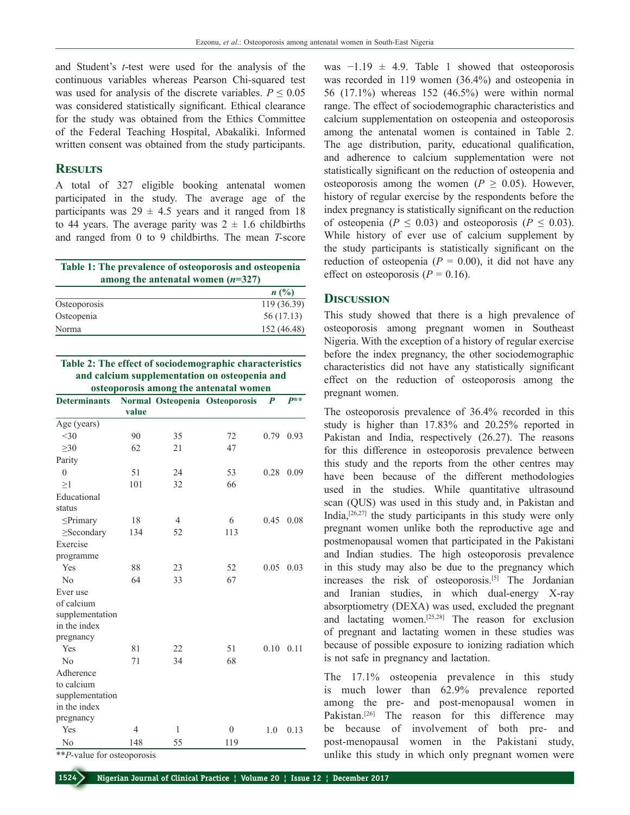and Student's *t*‑test were used for the analysis of the continuous variables whereas Pearson Chi-squared test was used for analysis of the discrete variables.  $P \leq 0.05$ was considered statistically significant. Ethical clearance for the study was obtained from the Ethics Committee of the Federal Teaching Hospital, Abakaliki. Informed written consent was obtained from the study participants.

## **Results**

A total of 327 eligible booking antenatal women participated in the study. The average age of the participants was  $29 \pm 4.5$  years and it ranged from 18 to 44 years. The average parity was  $2 \pm 1.6$  childbirths and ranged from 0 to 9 childbirths. The mean *T‑*score

| Table 1: The prevalence of osteoporosis and osteopenia<br>among the antenatal women $(n=327)$ |                |  |  |
|-----------------------------------------------------------------------------------------------|----------------|--|--|
|                                                                                               | $n(^{0}/_{0})$ |  |  |
| Osteoporosis                                                                                  | 119 (36.39)    |  |  |
| Osteopenia                                                                                    | 56(17.13)      |  |  |
| Norma                                                                                         | 152 (46.48)    |  |  |

**Table 2: The effect of sociodemographic characteristics and calcium supplementation on osteopenia and osteoporosis among the antenatal women**

| <b>Determinants</b> |       |                | ostcoporosis among the antenatar women<br>Normal Osteopenia Osteoporosis | $\boldsymbol{P}$ | $P^{**}$ |
|---------------------|-------|----------------|--------------------------------------------------------------------------|------------------|----------|
|                     | value |                |                                                                          |                  |          |
| Age (years)         |       |                |                                                                          |                  |          |
| <30                 | 90    | 35             | 72                                                                       | 0.79             | 0.93     |
| $\geq 30$           | 62    | 21             | 47                                                                       |                  |          |
| Parity              |       |                |                                                                          |                  |          |
| $\mathbf{0}$        | 51    | 24             | 53                                                                       | 0.28             | 0.09     |
| $\geq$ 1            | 101   | 32             | 66                                                                       |                  |          |
| Educational         |       |                |                                                                          |                  |          |
| status              |       |                |                                                                          |                  |          |
| $\leq$ Primary      | 18    | $\overline{4}$ | 6                                                                        | 0.45             | 0.08     |
| $\geq$ Secondary    | 134   | 52             | 113                                                                      |                  |          |
| Exercise            |       |                |                                                                          |                  |          |
| programme           |       |                |                                                                          |                  |          |
| Yes                 | 88    | 23             | 52                                                                       | 0.05             | 0.03     |
| No                  | 64    | 33             | 67                                                                       |                  |          |
| Ever use            |       |                |                                                                          |                  |          |
| of calcium          |       |                |                                                                          |                  |          |
| supplementation     |       |                |                                                                          |                  |          |
| in the index        |       |                |                                                                          |                  |          |
| pregnancy           |       |                |                                                                          |                  |          |
| Yes                 | 81    | 22             | 51                                                                       | 0.10             | 0.11     |
| No                  | 71    | 34             | 68                                                                       |                  |          |
| Adherence           |       |                |                                                                          |                  |          |
| to calcium          |       |                |                                                                          |                  |          |
| supplementation     |       |                |                                                                          |                  |          |
| in the index        |       |                |                                                                          |                  |          |
| pregnancy           |       |                |                                                                          |                  |          |
| Yes                 | 4     | 1              | $\theta$                                                                 | 1.0              | 0.13     |
| N <sub>0</sub>      | 148   | 55             | 119                                                                      |                  |          |

\*\**P*‑value for osteoporosis

was  $-1.19 \pm 4.9$ . Table 1 showed that osteoporosis was recorded in 119 women (36.4%) and osteopenia in 56 (17.1%) whereas 152 (46.5%) were within normal range. The effect of sociodemographic characteristics and calcium supplementation on osteopenia and osteoporosis among the antenatal women is contained in Table 2. The age distribution, parity, educational qualification, and adherence to calcium supplementation were not statistically significant on the reduction of osteopenia and osteoporosis among the women ( $P \geq 0.05$ ). However, history of regular exercise by the respondents before the index pregnancy is statistically significant on the reduction of osteopenia ( $P \le 0.03$ ) and osteoporosis ( $P \le 0.03$ ). While history of ever use of calcium supplement by the study participants is statistically significant on the reduction of osteopenia  $(P = 0.00)$ , it did not have any effect on osteoporosis  $(P = 0.16)$ .

#### **Discussion**

This study showed that there is a high prevalence of osteoporosis among pregnant women in Southeast Nigeria. With the exception of a history of regular exercise before the index pregnancy, the other sociodemographic characteristics did not have any statistically significant effect on the reduction of osteoporosis among the pregnant women.

The osteoporosis prevalence of 36.4% recorded in this study is higher than 17.83% and 20.25% reported in Pakistan and India, respectively (26.27). The reasons for this difference in osteoporosis prevalence between this study and the reports from the other centres may have been because of the different methodologies used in the studies. While quantitative ultrasound scan (QUS) was used in this study and, in Pakistan and India, $[26,27]$  the study participants in this study were only pregnant women unlike both the reproductive age and postmenopausal women that participated in the Pakistani and Indian studies. The high osteoporosis prevalence in this study may also be due to the pregnancy which increases the risk of osteoporosis.<sup>[5]</sup> The Jordanian and Iranian studies, in which dual-energy X-ray absorptiometry (DEXA) was used, excluded the pregnant and lactating women.[25,28] The reason for exclusion of pregnant and lactating women in these studies was because of possible exposure to ionizing radiation which is not safe in pregnancy and lactation.

The 17.1% osteopenia prevalence in this study is much lower than 62.9% prevalence reported among the pre- and post-menopausal women in Pakistan.<sup>[26]</sup> The reason for this difference may be because of involvement of both pre- and post-menopausal women in the Pakistani study, unlike this study in which only pregnant women were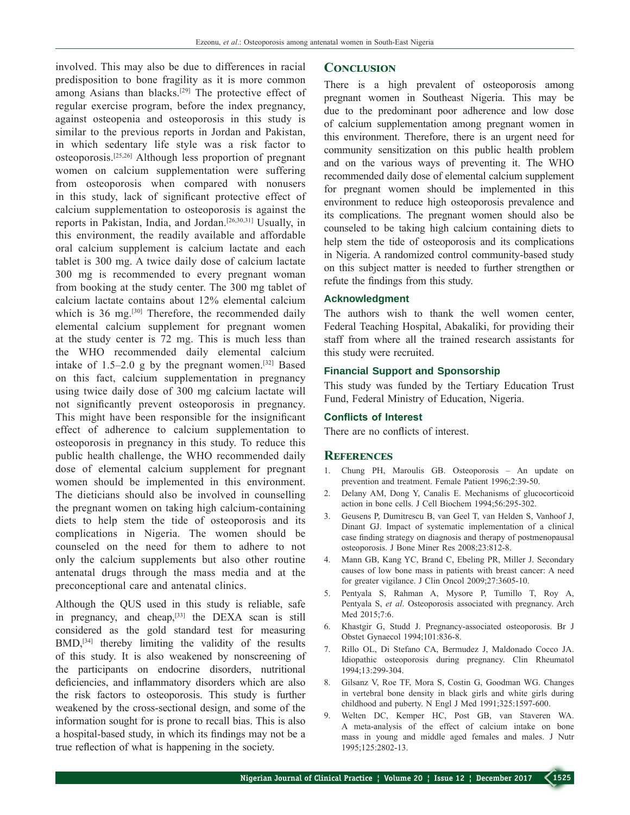involved. This may also be due to differences in racial predisposition to bone fragility as it is more common among Asians than blacks.<sup>[29]</sup> The protective effect of regular exercise program, before the index pregnancy, against osteopenia and osteoporosis in this study is similar to the previous reports in Jordan and Pakistan, in which sedentary life style was a risk factor to osteoporosis.[25,26] Although less proportion of pregnant women on calcium supplementation were suffering from osteoporosis when compared with nonusers in this study, lack of significant protective effect of calcium supplementation to osteoporosis is against the reports in Pakistan, India, and Jordan.[26,30,31] Usually, in this environment, the readily available and affordable oral calcium supplement is calcium lactate and each tablet is 300 mg. A twice daily dose of calcium lactate 300 mg is recommended to every pregnant woman from booking at the study center. The 300 mg tablet of calcium lactate contains about 12% elemental calcium which is 36 mg.<sup>[30]</sup> Therefore, the recommended daily elemental calcium supplement for pregnant women at the study center is 72 mg. This is much less than the WHO recommended daily elemental calcium intake of  $1.5-2.0$  g by the pregnant women.<sup>[32]</sup> Based on this fact, calcium supplementation in pregnancy using twice daily dose of 300 mg calcium lactate will not significantly prevent osteoporosis in pregnancy. This might have been responsible for the insignificant effect of adherence to calcium supplementation to osteoporosis in pregnancy in this study. To reduce this public health challenge, the WHO recommended daily dose of elemental calcium supplement for pregnant women should be implemented in this environment. The dieticians should also be involved in counselling the pregnant women on taking high calcium‑containing diets to help stem the tide of osteoporosis and its complications in Nigeria. The women should be counseled on the need for them to adhere to not only the calcium supplements but also other routine antenatal drugs through the mass media and at the preconceptional care and antenatal clinics.

Although the QUS used in this study is reliable, safe in pregnancy, and cheap,<sup>[33]</sup> the DEXA scan is still considered as the gold standard test for measuring BMD,[34] thereby limiting the validity of the results of this study. It is also weakened by nonscreening of the participants on endocrine disorders, nutritional deficiencies, and inflammatory disorders which are also the risk factors to osteoporosis. This study is further weakened by the cross-sectional design, and some of the information sought for is prone to recall bias. This is also a hospital-based study, in which its findings may not be a true reflection of what is happening in the society.

#### **Conclusion**

There is a high prevalent of osteoporosis among pregnant women in Southeast Nigeria. This may be due to the predominant poor adherence and low dose of calcium supplementation among pregnant women in this environment. Therefore, there is an urgent need for community sensitization on this public health problem and on the various ways of preventing it. The WHO recommended daily dose of elemental calcium supplement for pregnant women should be implemented in this environment to reduce high osteoporosis prevalence and its complications. The pregnant women should also be counseled to be taking high calcium containing diets to help stem the tide of osteoporosis and its complications in Nigeria. A randomized control community-based study on this subject matter is needed to further strengthen or refute the findings from this study.

#### **Acknowledgment**

The authors wish to thank the well women center, Federal Teaching Hospital, Abakaliki, for providing their staff from where all the trained research assistants for this study were recruited.

### **Financial Support and Sponsorship**

This study was funded by the Tertiary Education Trust Fund, Federal Ministry of Education, Nigeria.

#### **Conflicts of Interest**

There are no conflicts of interest.

#### **References**

- 1. Chung PH, Maroulis GB. Osteoporosis An update on prevention and treatment. Female Patient 1996;2:39‑50.
- 2. Delany AM, Dong Y, Canalis E. Mechanisms of glucocorticoid action in bone cells. J Cell Biochem 1994;56:295-302.
- 3. Geusens P, Dumitrescu B, van Geel T, van Helden S, Vanhoof J, Dinant GJ. Impact of systematic implementation of a clinical case finding strategy on diagnosis and therapy of postmenopausal osteoporosis. J Bone Miner Res 2008;23:812‑8.
- 4. Mann GB, Kang YC, Brand C, Ebeling PR, Miller J. Secondary causes of low bone mass in patients with breast cancer: A need for greater vigilance. J Clin Oncol 2009;27:3605-10.
- 5. Pentyala S, Rahman A, Mysore P, Tumillo T, Roy A, Pentyala S, *et al*. Osteoporosis associated with pregnancy. Arch Med 2015;7:6.
- 6. Khastgir G, Studd J. Pregnancy‑associated osteoporosis. Br J Obstet Gynaecol 1994;101:836‑8.
- 7. Rillo OL, Di Stefano CA, Bermudez J, Maldonado Cocco JA. Idiopathic osteoporosis during pregnancy. Clin Rheumatol 1994;13:299‑304.
- 8. Gilsanz V, Roe TF, Mora S, Costin G, Goodman WG. Changes in vertebral bone density in black girls and white girls during childhood and puberty. N Engl J Med 1991;325:1597‑600.
- 9. Welten DC, Kemper HC, Post GB, van Staveren WA. A meta‑analysis of the effect of calcium intake on bone mass in young and middle aged females and males. J Nutr 1995;125:2802‑13.